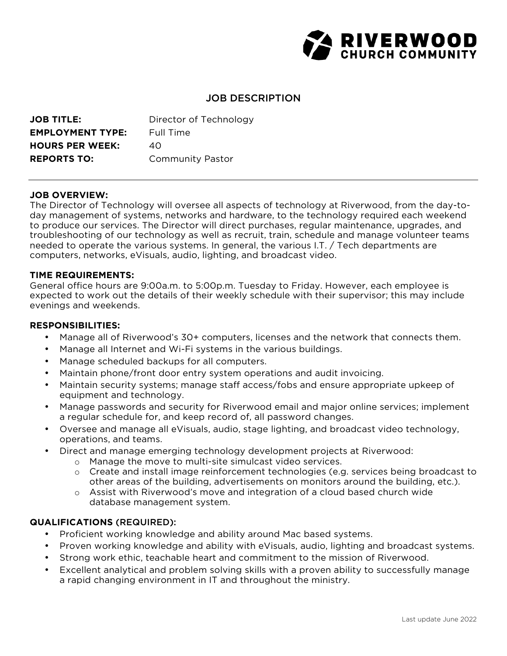

# JOB DESCRIPTION

| <b>JOB TITLE:</b>       | Director of Technology  |
|-------------------------|-------------------------|
| <b>EMPLOYMENT TYPE:</b> | Full Time               |
| <b>HOURS PER WEEK:</b>  | 40                      |
| <b>REPORTS TO:</b>      | <b>Community Pastor</b> |

# **JOB OVERVIEW:**

The Director of Technology will oversee all aspects of technology at Riverwood, from the day-today management of systems, networks and hardware, to the technology required each weekend to produce our services. The Director will direct purchases, regular maintenance, upgrades, and troubleshooting of our technology as well as recruit, train, schedule and manage volunteer teams needed to operate the various systems. In general, the various I.T. / Tech departments are computers, networks, eVisuals, audio, lighting, and broadcast video.

# **TIME REQUIREMENTS:**

General office hours are 9:00a.m. to 5:00p.m. Tuesday to Friday. However, each employee is expected to work out the details of their weekly schedule with their supervisor; this may include evenings and weekends.

#### **RESPONSIBILITIES:**

- Manage all of Riverwood's 30+ computers, licenses and the network that connects them.
- Manage all Internet and Wi-Fi systems in the various buildings.
- Manage scheduled backups for all computers.
- Maintain phone/front door entry system operations and audit invoicing.
- Maintain security systems; manage staff access/fobs and ensure appropriate upkeep of equipment and technology.
- Manage passwords and security for Riverwood email and major online services; implement a regular schedule for, and keep record of, all password changes.
- Oversee and manage all eVisuals, audio, stage lighting, and broadcast video technology, operations, and teams.
- Direct and manage emerging technology development projects at Riverwood:
	- o Manage the move to multi-site simulcast video services.
	- o Create and install image reinforcement technologies (e.g. services being broadcast to other areas of the building, advertisements on monitors around the building, etc.).
	- o Assist with Riverwood's move and integration of a cloud based church wide database management system.

# **QUALIFICATIONS** (REQUIRED):

- Proficient working knowledge and ability around Mac based systems.
- Proven working knowledge and ability with eVisuals, audio, lighting and broadcast systems.
- Strong work ethic, teachable heart and commitment to the mission of Riverwood.
- Excellent analytical and problem solving skills with a proven ability to successfully manage a rapid changing environment in IT and throughout the ministry.